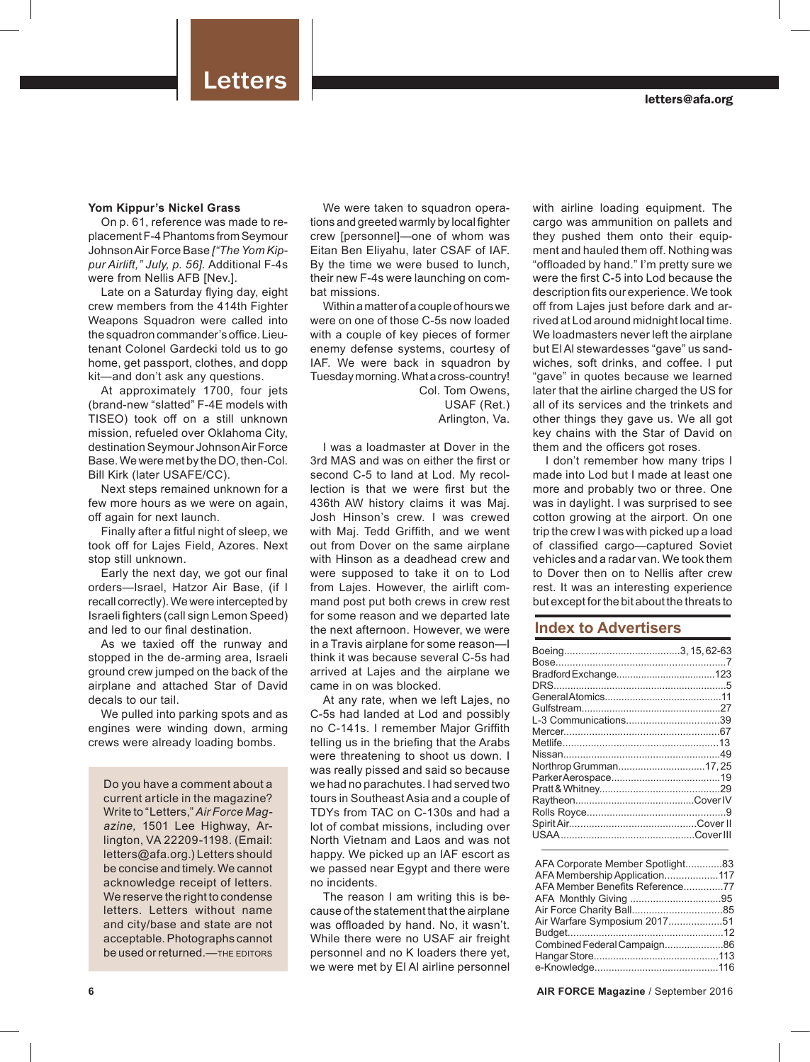#### **Yom Kippur's Nickel Grass**

On p. 61, reference was made to replacement F-4 Phantoms from Seymour Johnson Air Force Base *["The Yom Kippur Airlift," July, p. 56].* Additional F-4s were from Nellis AFB [Nev.].

Late on a Saturday flying day, eight crew members from the 414th Fighter Weapons Squadron were called into the squadron commander's office. Lieutenant Colonel Gardecki told us to go home, get passport, clothes, and dopp kit—and don't ask any questions.

At approximately 1700, four jets (brand-new "slatted" F-4E models with TISEO) took off on a still unknown mission, refueled over Oklahoma City, destination Seymour Johnson Air Force Base. We were met by the DO, then-Col. Bill Kirk (later USAFE/CC).

Next steps remained unknown for a few more hours as we were on again, off again for next launch.

Finally after a fitful night of sleep, we took off for Lajes Field, Azores. Next stop still unknown.

Early the next day, we got our final orders—Israel, Hatzor Air Base, (if I recall correctly). We were intercepted by Israeli fighters (call sign Lemon Speed) and led to our final destination.

As we taxied off the runway and stopped in the de-arming area, Israeli ground crew jumped on the back of the airplane and attached Star of David decals to our tail.

We pulled into parking spots and as engines were winding down, arming crews were already loading bombs.

Do you have a comment about a current article in the magazine? Write to "Letters," *Air Force Magazine,* 1501 Lee Highway, Arlington, VA 22209-1198. (Email: letters@afa.org.) Letters should be concise and timely. We cannot acknowledge receipt of letters. We reserve the right to condense letters. Letters without name and city/base and state are not acceptable. Photographs cannot be used or returned.—THE EDITORS

We were taken to squadron operations and greeted warmly by local fighter crew [personnel]—one of whom was Eitan Ben Eliyahu, later CSAF of IAF. By the time we were bused to lunch, their new F-4s were launching on combat missions.

Within a matter of a couple of hours we were on one of those C-5s now loaded with a couple of key pieces of former enemy defense systems, courtesy of IAF. We were back in squadron by Tuesday morning. What a cross-country! Col. Tom Owens,

USAF (Ret.) Arlington, Va.

I was a loadmaster at Dover in the 3rd MAS and was on either the first or second C-5 to land at Lod. My recollection is that we were first but the 436th AW history claims it was Maj. Josh Hinson's crew. I was crewed with Maj. Tedd Griffith, and we went out from Dover on the same airplane with Hinson as a deadhead crew and were supposed to take it on to Lod from Lajes. However, the airlift command post put both crews in crew rest for some reason and we departed late the next afternoon. However, we were in a Travis airplane for some reason—I think it was because several C-5s had arrived at Lajes and the airplane we came in on was blocked.

At any rate, when we left Lajes, no C-5s had landed at Lod and possibly no C-141s. I remember Major Griffith telling us in the briefing that the Arabs were threatening to shoot us down. I was really pissed and said so because we had no parachutes. I had served two tours in Southeast Asia and a couple of TDYs from TAC on C-130s and had a lot of combat missions, including over North Vietnam and Laos and was not happy. We picked up an IAF escort as we passed near Egypt and there were no incidents.

The reason I am writing this is because of the statement that the airplane was offloaded by hand. No, it wasn't. While there were no USAF air freight personnel and no K loaders there yet, we were met by El Al airline personnel

with airline loading equipment. The cargo was ammunition on pallets and they pushed them onto their equipment and hauled them off. Nothing was "offloaded by hand." I'm pretty sure we were the first C-5 into Lod because the description fits our experience. We took off from Lajes just before dark and arrived at Lod around midnight local time. We loadmasters never left the airplane but El Al stewardesses "gave" us sandwiches, soft drinks, and coffee. I put "gave" in quotes because we learned later that the airline charged the US for all of its services and the trinkets and other things they gave us. We all got key chains with the Star of David on them and the officers got roses.

I don't remember how many trips I made into Lod but I made at least one more and probably two or three. One was in daylight. I was surprised to see cotton growing at the airport. On one trip the crew I was with picked up a load of classified cargo—captured Soviet vehicles and a radar van. We took them to Dover then on to Nellis after crew rest. It was an interesting experience but except for the bit about the threats to

## **Index to Advertisers**

| L-3 Communications39  |  |
|-----------------------|--|
|                       |  |
|                       |  |
|                       |  |
| Northrop Grumman17,25 |  |
|                       |  |
|                       |  |
|                       |  |
|                       |  |
|                       |  |
|                       |  |
|                       |  |

| AFA Corporate Member Spotlight83 |  |
|----------------------------------|--|
| AFA Membership Application117    |  |
| AFA Member Benefits Reference77  |  |
|                                  |  |
|                                  |  |
| Air Warfare Symposium 201751     |  |
|                                  |  |
| Combined Federal Campaign86      |  |
|                                  |  |
|                                  |  |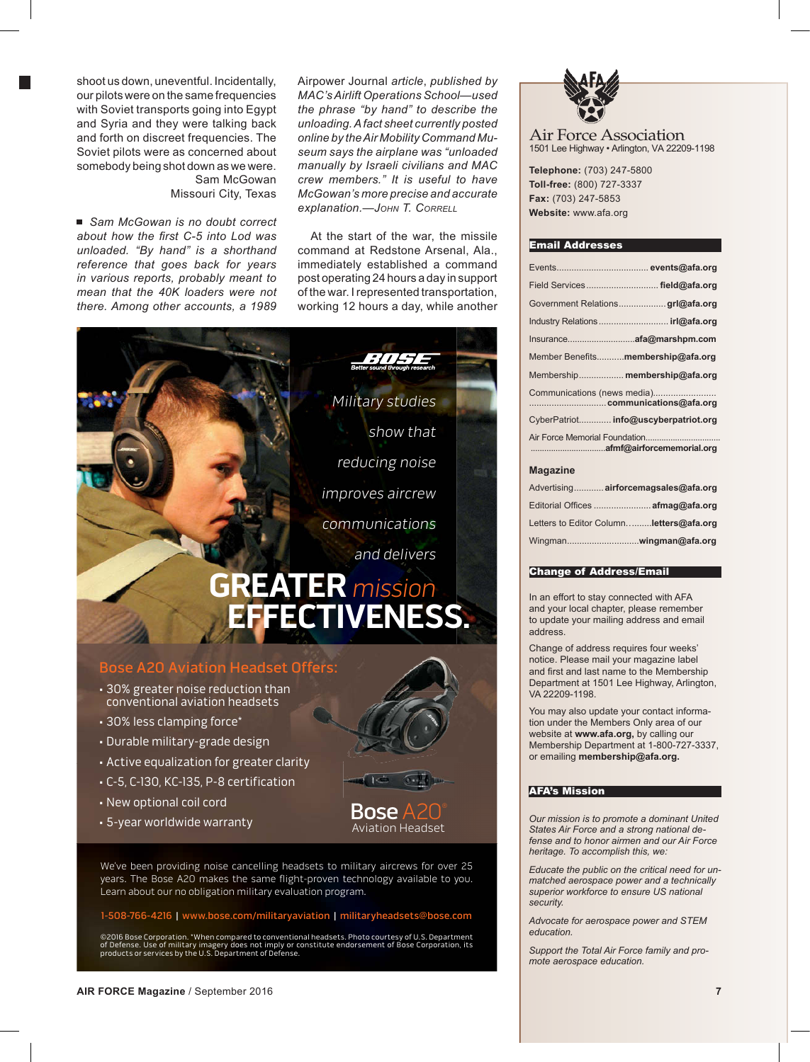shoot us down, uneventful. Incidentally, our pilots were on the same frequencies with Soviet transports going into Egypt and Syria and they were talking back and forth on discreet frequencies. The Soviet pilots were as concerned about somebody being shot down as we were. Sam McGowan Missouri City, Texas

■ *Sam McGowan is no doubt correct* about how the first C-5 into Lod was *unloaded. "By hand" is a shorthand reference that goes back for years in various reports, probably meant to mean that the 40K loaders were not there. Among other accounts, a 1989* 

Airpower Journal *article*, *published by MAC's Airlift Operations School—used the phrase "by hand" to describe the unloading. A fact sheet currently posted online by the Air Mobility Command Museum says the airplane was "unloaded manually by Israeli civilians and MAC crew members." It is useful to have McGowan's more precise and accurate explanation.—JOHN T. CORRELL*

At the start of the war, the missile command at Redstone Arsenal, Ala. immediately established a command post operating 24 hours a day in support of the war. I represented transportation, working 12 hours a day, while another

Aviation Headset



- C-5, C-130, KC-135, P-8 certification
- New optional coil cord
- $\overline{\text{Bose}}$ <br>• 5-year worldwide warranty  $\overline{\text{A}}$

We've been providing noise cancelling headsets to military aircrews for over 25 years. The Bose A20 makes the same flight-proven technology available to you. Learn about our no obligation military evaluation program.

### 1-508-766-4216 | www.bose.com/militaryaviation | militaryheadsets@bose.com

©2016 Bose Corporation. \*When compared to conventional headsets. Photo courtesy of U.S. Department of Defense. Use of military imagery does not imply or constitute endorsement of Bose Corporation, its products or services by the U.S. Department of Defense.

BOS81092\_AirForMag.indd 1 6/16/16 5:19 PM



Air Force Association 1501 Lee Highway • Arlington, VA 22209-1198

**Telephone:** (703) 247-5800 **Toll-free:** (800) 727-3337 **Fax:** (703) 247-5853 **Website:** www.afa.org

#### Email Addresses

|                             | Field Services field@afa.org         |  |
|-----------------------------|--------------------------------------|--|
|                             | Government Relationsgrl@afa.org      |  |
|                             |                                      |  |
|                             |                                      |  |
|                             | Member Benefits membership@afa.org   |  |
|                             | Membership membership@afa.org        |  |
| Communications (news media) |                                      |  |
|                             | CyberPatriot info@uscyberpatriot.org |  |
|                             |                                      |  |
|                             |                                      |  |

#### **Magazine**

| Advertising airforcemagsales@afa.org    |
|-----------------------------------------|
| Editorial Offices  afmag@afa.org        |
| Letters to Editor Columnletters@afa.org |
|                                         |

#### Change of Address/Email

In an effort to stay connected with AFA and your local chapter, please remember to update your mailing address and email address.

Change of address requires four weeks' notice. Please mail your magazine label and first and last name to the Membership Department at 1501 Lee Highway, Arlington, VA 22209-1198.

You may also update your contact information under the Members Only area of our website at **www.afa.org,** by calling our Membership Department at 1-800-727-3337, or emailing **membership@afa.org.**

#### AFA's Mission

*Our mission is to promote a dominant United States Air Force and a strong national defense and to honor airmen and our Air Force heritage. To accomplish this, we:*

*Educate the public on the critical need for unmatched aerospace power and a technically superior workforce to ensure US national security.*

*Advocate for aerospace power and STEM education.*

*Support the Total Air Force family and promote aerospace education.*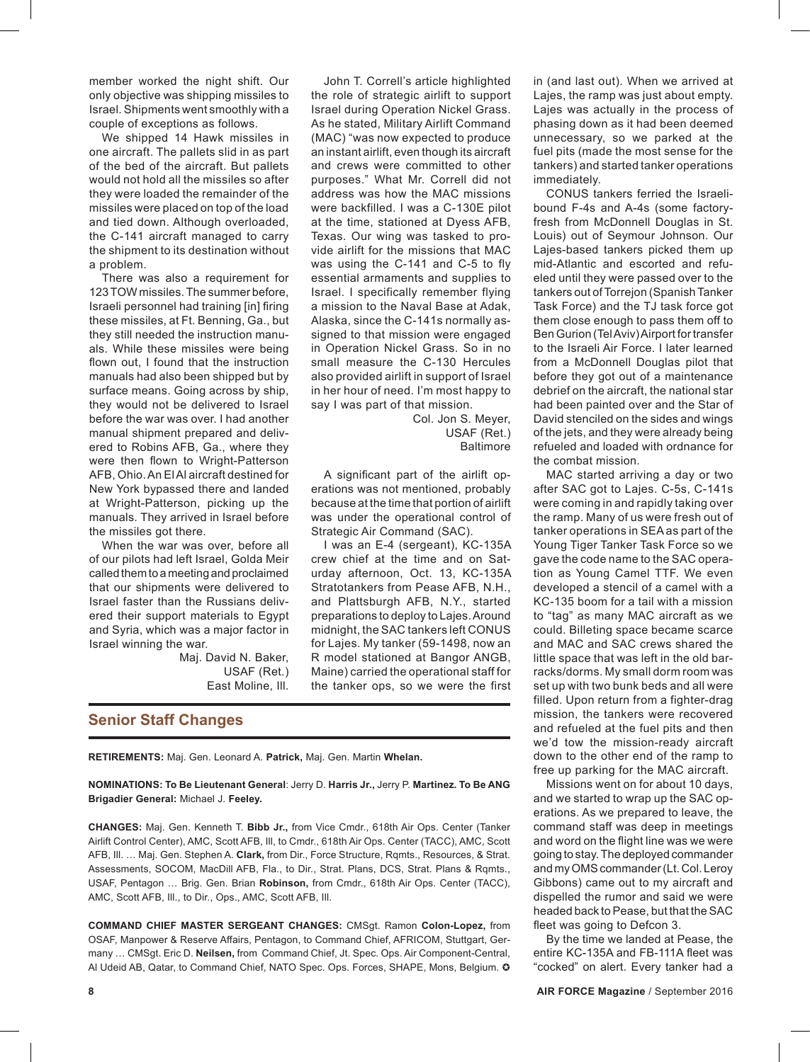member worked the night shift. Our only objective was shipping missiles to Israel. Shipments went smoothly with a couple of exceptions as follows.

We shipped 14 Hawk missiles in one aircraft. The pallets slid in as part of the bed of the aircraft. But pallets would not hold all the missiles so after they were loaded the remainder of the missiles were placed on top of the load and tied down. Although overloaded, the C-141 aircraft managed to carry the shipment to its destination without a problem.

There was also a requirement for 123 TOW missiles. The summer before, Israeli personnel had training [in] firing these missiles, at Ft. Benning, Ga., but they still needed the instruction manuals. While these missiles were being flown out, I found that the instruction manuals had also been shipped but by surface means. Going across by ship, they would not be delivered to Israel before the war was over. I had another manual shipment prepared and delivered to Robins AFB, Ga., where they were then flown to Wright-Patterson AFB, Ohio. An El Al aircraft destined for New York bypassed there and landed at Wright-Patterson, picking up the manuals. They arrived in Israel before the missiles got there.

When the war was over, before all of our pilots had left Israel, Golda Meir called them to a meeting and proclaimed that our shipments were delivered to Israel faster than the Russians delivered their support materials to Egypt and Syria, which was a major factor in Israel winning the war.

Maj. David N. Baker, USAF (Ret.) East Moline, Ill.

John T. Correll's article highlighted the role of strategic airlift to support Israel during Operation Nickel Grass. As he stated, Military Airlift Command (MAC) "was now expected to produce an instant airlift, even though its aircraft and crews were committed to other purposes." What Mr. Correll did not address was how the MAC missions were backfilled. I was a C-130E pilot at the time, stationed at Dyess AFB, Texas. Our wing was tasked to provide airlift for the missions that MAC was using the C-141 and C-5 to fly essential armaments and supplies to Israel. I specifically remember flying a mission to the Naval Base at Adak, Alaska, since the C-141s normally assigned to that mission were engaged in Operation Nickel Grass. So in no small measure the C-130 Hercules also provided airlift in support of Israel in her hour of need. I'm most happy to say I was part of that mission.

> Col. Jon S. Meyer, USAF (Ret.) Baltimore

A significant part of the airlift operations was not mentioned, probably because at the time that portion of airlift was under the operational control of Strategic Air Command (SAC).

I was an E-4 (sergeant), KC-135A crew chief at the time and on Saturday afternoon, Oct. 13, KC-135A Stratotankers from Pease AFB, N.H., and Plattsburgh AFB, N.Y., started preparations to deploy to Lajes. Around midnight, the SAC tankers left CONUS for Lajes. My tanker (59-1498, now an R model stationed at Bangor ANGB, Maine) carried the operational staff for the tanker ops, so we were the first

## **Senior Staff Changes**

**RETIREMENTS:** Maj. Gen. Leonard A. **Patrick,** Maj. Gen. Martin **Whelan.**

**NOMINATIONS: To Be Lieutenant General**: Jerry D. **Harris Jr.,** Jerry P. **Martinez. To Be ANG Brigadier General:** Michael J. **Feeley.**

**CHANGES:** Maj. Gen. Kenneth T. **Bibb Jr.,** from Vice Cmdr., 618th Air Ops. Center (Tanker Airlift Control Center), AMC, Scott AFB, Ill, to Cmdr., 618th Air Ops. Center (TACC), AMC, Scott AFB, Ill. … Maj. Gen. Stephen A. **Clark,** from Dir., Force Structure, Rqmts., Resources, & Strat. Assessments, SOCOM, MacDill AFB, Fla., to Dir., Strat. Plans, DCS, Strat. Plans & Rqmts., USAF, Pentagon … Brig. Gen. Brian **Robinson,** from Cmdr., 618th Air Ops. Center (TACC), AMC, Scott AFB, Ill., to Dir., Ops., AMC, Scott AFB, Ill.

**COMMAND CHIEF MASTER SERGEANT CHANGES:** CMSgt. Ramon **Colon-Lopez,** from OSAF, Manpower & Reserve Affairs, Pentagon, to Command Chief, AFRICOM, Stuttgart, Germany … CMSgt. Eric D. **Neilsen,** from Command Chief, Jt. Spec. Ops. Air Component-Central, Al Udeid AB, Qatar, to Command Chief, NATO Spec. Ops. Forces, SHAPE, Mons, Belgium. O

in (and last out). When we arrived at Lajes, the ramp was just about empty. Lajes was actually in the process of phasing down as it had been deemed unnecessary, so we parked at the fuel pits (made the most sense for the tankers) and started tanker operations immediately.

CONUS tankers ferried the Israelibound F-4s and A-4s (some factoryfresh from McDonnell Douglas in St. Louis) out of Seymour Johnson. Our Lajes-based tankers picked them up mid-Atlantic and escorted and refueled until they were passed over to the tankers out of Torrejon (Spanish Tanker Task Force) and the TJ task force got them close enough to pass them off to Ben Gurion (Tel Aviv) Airport for transfer to the Israeli Air Force. I later learned from a McDonnell Douglas pilot that before they got out of a maintenance debrief on the aircraft, the national star had been painted over and the Star of David stenciled on the sides and wings of the jets, and they were already being refueled and loaded with ordnance for the combat mission.

MAC started arriving a day or two after SAC got to Lajes. C-5s, C-141s were coming in and rapidly taking over the ramp. Many of us were fresh out of tanker operations in SEA as part of the Young Tiger Tanker Task Force so we gave the code name to the SAC operation as Young Camel TTF. We even developed a stencil of a camel with a KC-135 boom for a tail with a mission to "tag" as many MAC aircraft as we could. Billeting space became scarce and MAC and SAC crews shared the little space that was left in the old barracks/dorms. My small dorm room was set up with two bunk beds and all were filled. Upon return from a fighter-drag mission, the tankers were recovered and refueled at the fuel pits and then we'd tow the mission-ready aircraft down to the other end of the ramp to free up parking for the MAC aircraft.

Missions went on for about 10 days, and we started to wrap up the SAC operations. As we prepared to leave, the command staff was deep in meetings and word on the flight line was we were going to stay. The deployed commander and my OMS commander (Lt. Col. Leroy Gibbons) came out to my aircraft and dispelled the rumor and said we were headed back to Pease, but that the SAC fleet was going to Defcon 3.

By the time we landed at Pease, the entire KC-135A and FB-111A fleet was "cocked" on alert. Every tanker had a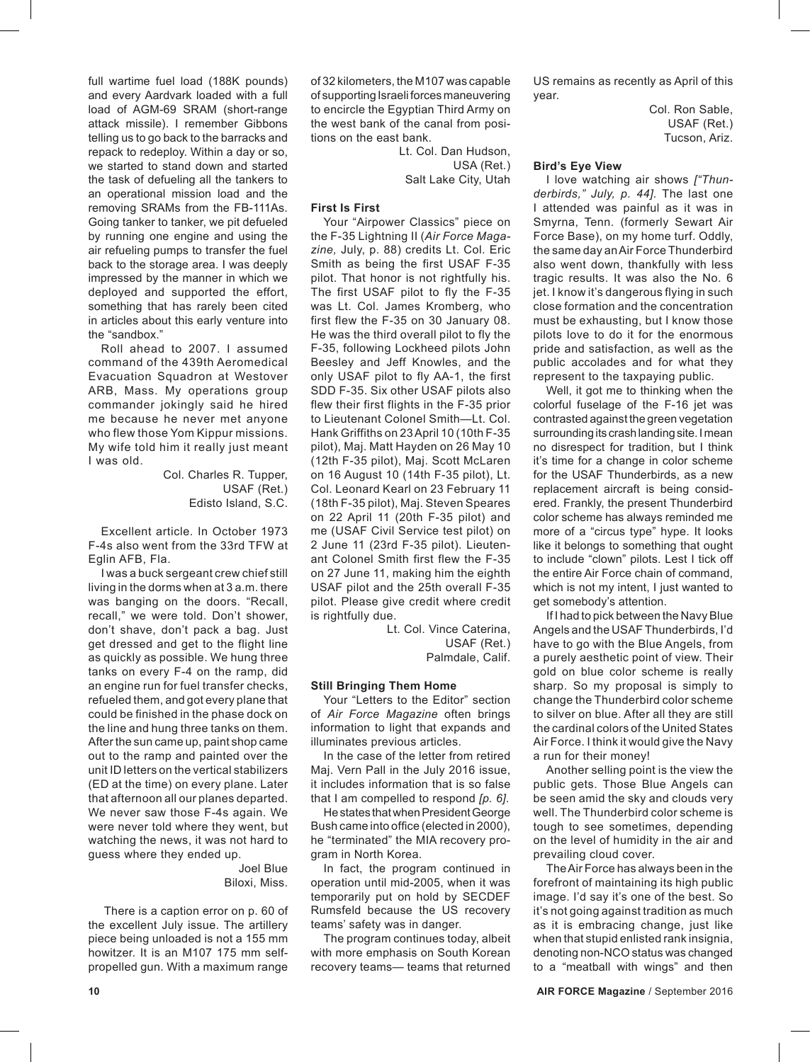full wartime fuel load (188K pounds) and every Aardvark loaded with a full load of AGM-69 SRAM (short-range attack missile). I remember Gibbons telling us to go back to the barracks and repack to redeploy. Within a day or so, we started to stand down and started the task of defueling all the tankers to an operational mission load and the removing SRAMs from the FB-111As. Going tanker to tanker, we pit defueled by running one engine and using the air refueling pumps to transfer the fuel back to the storage area. I was deeply impressed by the manner in which we deployed and supported the effort, something that has rarely been cited in articles about this early venture into the "sandbox."

Roll ahead to 2007. I assumed command of the 439th Aeromedical Evacuation Squadron at Westover ARB, Mass. My operations group commander jokingly said he hired me because he never met anyone who flew those Yom Kippur missions. My wife told him it really just meant I was old.

> Col. Charles R. Tupper, USAF (Ret.) Edisto Island, S.C.

Excellent article. In October 1973 F-4s also went from the 33rd TFW at Eglin AFB, Fla.

I was a buck sergeant crew chief still living in the dorms when at 3 a.m. there was banging on the doors. "Recall, recall," we were told. Don't shower, don't shave, don't pack a bag. Just get dressed and get to the flight line as quickly as possible. We hung three tanks on every F-4 on the ramp, did an engine run for fuel transfer checks, refueled them, and got every plane that could be finished in the phase dock on the line and hung three tanks on them. After the sun came up, paint shop came out to the ramp and painted over the unit ID letters on the vertical stabilizers (ED at the time) on every plane. Later that afternoon all our planes departed. We never saw those F-4s again. We were never told where they went, but watching the news, it was not hard to guess where they ended up.

> Joel Blue Biloxi, Miss.

There is a caption error on p. 60 of the excellent July issue. The artillery piece being unloaded is not a 155 mm howitzer. It is an M107 175 mm selfpropelled gun. With a maximum range

of 32 kilometers, the M107 was capable of supporting Israeli forces maneuvering to encircle the Egyptian Third Army on the west bank of the canal from positions on the east bank.

> Lt. Col. Dan Hudson, USA (Ret.) Salt Lake City, Utah

## **First Is First**

Your "Airpower Classics" piece on the F-35 Lightning II (*Air Force Magazine,* July, p. 88) credits Lt. Col. Eric Smith as being the first USAF F-35 pilot. That honor is not rightfully his. The first USAF pilot to fly the F-35 was Lt. Col. James Kromberg, who first flew the F-35 on 30 January 08. He was the third overall pilot to fly the F-35, following Lockheed pilots John Beesley and Jeff Knowles, and the only USAF pilot to fly AA-1, the first SDD F-35. Six other USAF pilots also flew their first flights in the F-35 prior to Lieutenant Colonel Smith—Lt. Col. Hank Griffiths on 23 April 10 (10th F-35 pilot), Maj. Matt Hayden on 26 May 10 (12th F-35 pilot), Maj. Scott McLaren on 16 August 10 (14th F-35 pilot), Lt. Col. Leonard Kearl on 23 February 11 (18th F-35 pilot), Maj. Steven Speares on 22 April 11 (20th F-35 pilot) and me (USAF Civil Service test pilot) on 2 June 11 (23rd F-35 pilot). Lieutenant Colonel Smith first flew the F-35 on 27 June 11, making him the eighth USAF pilot and the 25th overall F-35 pilot. Please give credit where credit is rightfully due.

> Lt. Col. Vince Caterina, USAF (Ret.) Palmdale, Calif.

#### **Still Bringing Them Home**

Your "Letters to the Editor" section of *Air Force Magazine* often brings information to light that expands and illuminates previous articles.

In the case of the letter from retired Maj. Vern Pall in the July 2016 issue, it includes information that is so false that I am compelled to respond *[p. 6]*.

He states that when President George Bush came into office (elected in 2000), he "terminated" the MIA recovery program in North Korea.

In fact, the program continued in operation until mid-2005, when it was temporarily put on hold by SECDEF Rumsfeld because the US recovery teams' safety was in danger.

The program continues today, albeit with more emphasis on South Korean recovery teams— teams that returned

US remains as recently as April of this year.

> Col. Ron Sable, USAF (Ret.) Tucson, Ariz.

### **Bird's Eye View**

I love watching air shows *["Thunderbirds," July, p. 44].* The last one I attended was painful as it was in Smyrna, Tenn. (formerly Sewart Air Force Base), on my home turf. Oddly, the same day an Air Force Thunderbird also went down, thankfully with less tragic results. It was also the No. 6 jet. I know it's dangerous flying in such close formation and the concentration must be exhausting, but I know those pilots love to do it for the enormous pride and satisfaction, as well as the public accolades and for what they represent to the taxpaying public.

Well, it got me to thinking when the colorful fuselage of the F-16 jet was contrasted against the green vegetation surrounding its crash landing site. I mean no disrespect for tradition, but I think it's time for a change in color scheme for the USAF Thunderbirds, as a new replacement aircraft is being considered. Frankly, the present Thunderbird color scheme has always reminded me more of a "circus type" hype. It looks like it belongs to something that ought to include "clown" pilots. Lest I tick off the entire Air Force chain of command, which is not my intent, I just wanted to get somebody's attention.

If I had to pick between the Navy Blue Angels and the USAF Thunderbirds, I'd have to go with the Blue Angels, from a purely aesthetic point of view. Their gold on blue color scheme is really sharp. So my proposal is simply to change the Thunderbird color scheme to silver on blue. After all they are still the cardinal colors of the United States Air Force. I think it would give the Navy a run for their money!

Another selling point is the view the public gets. Those Blue Angels can be seen amid the sky and clouds very well. The Thunderbird color scheme is tough to see sometimes, depending on the level of humidity in the air and prevailing cloud cover.

The Air Force has always been in the forefront of maintaining its high public image. I'd say it's one of the best. So it's not going against tradition as much as it is embracing change, just like when that stupid enlisted rank insignia, denoting non-NCO status was changed to a "meatball with wings" and then